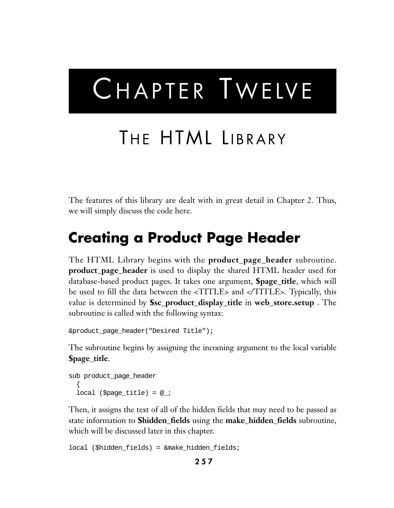# CHAPTER TWELVE

## THE HTML LIBRARY

The features of this library are dealt with in great detail in Chapter 2. Thus, we will simply discuss the code here.

### **Creating a Product Page Header**

The HTML Library begins with the **product\_page\_header** subroutine. **product\_page\_header** is used to display the shared HTML header used for database-based product pages. It takes one argument, **\$page\_title**, which will be used to fill the data between the <TITLE> and </TITLE>. Typically, this value is determined by **\$sc\_product\_display\_title** in **web\_store.setup** . The subroutine is called with the following syntax:

```
&product_page_header("Desired Title");
```
The subroutine begins by assigning the incoming argument to the local variable **\$page\_title**.

```
sub product_page_header
  {
 local ($page title) = @;
```
Then, it assigns the text of all of the hidden fields that may need to be passed as state information to **\$hidden\_fields** using the **make\_hidden\_fields** subroutine, which will be discussed later in this chapter.

```
local ($hidden_fields) = &make_hidden_fields;
```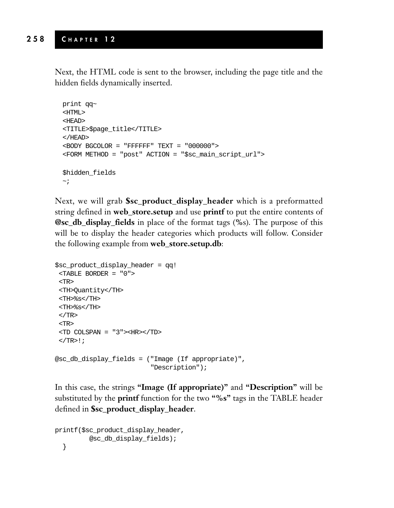Next, the HTML code is sent to the browser, including the page title and the hidden fields dynamically inserted.

```
print qq~
<HTML>
<HEAD>
<TITLE>$page_title</TITLE>
</HEAD>
<BODY BGCOLOR = "FFFFFF" TEXT = "000000">
<FORM METHOD = "post" ACTION = "$sc_main_script_url">
$hidden_fields
\sim;
```
Next, we will grab **\$sc\_product\_display\_header** which is a preformatted string defined in **web\_store.setup** and use **printf** to put the entire contents of **@sc\_db\_display\_fields** in place of the format tags (**%**s). The purpose of this will be to display the header categories which products will follow. Consider the following example from **web\_store.setup.db**:

```
$sc_product_display_header = qq!
 <TABLE BORDER = "0">
<TR>
<TH>Quantity</TH>
<TH>%s</TH>
<TH>%s</TH>
</TR><TR>
<TD COLSPAN = "3"><HR></TD>
\langleTR>!;
@sc_db_display_fields = ("Image (If appropriate)",
                          "Description");
```
In this case, the strings **"Image (If appropriate)"** and **"Description"** will be substituted by the **printf** function for the two **"%s"** tags in the TABLE header defined in **\$sc\_product\_display\_header**.

```
printf($sc_product_display_header,
         @sc_db_display_fields);
  }
```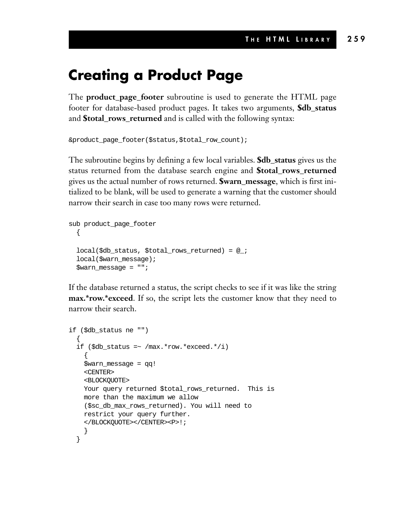### **Creating a Product Page**

The **product\_page\_footer** subroutine is used to generate the HTML page footer for database-based product pages. It takes two arguments, **\$db\_status** and **\$total\_rows\_returned** and is called with the following syntax:

```
&product_page_footer($status,$total_row_count);
```
The subroutine begins by defining a few local variables. **\$db\_status** gives us the status returned from the database search engine and **\$total\_rows\_returned** gives us the actual number of rows returned. **\$warn\_message**, which is first initialized to be blank, will be used to generate a warning that the customer should narrow their search in case too many rows were returned.

```
sub product_page_footer
  {
 local($db_status, $total_rows_returned) = @_;
  local($warn_message);
  $warn_message = "";
```
If the database returned a status, the script checks to see if it was like the string **max.\*row.\*exceed**. If so, the script lets the customer know that they need to narrow their search.

```
if ($db_status ne "")
  {
  if (\frac{\delta}{d}b_{status} = \sim /max.*row.*exceed.*/i){
    $warn_message = qq!
    <CENTER>
    <BLOCKQUOTE>
   Your query returned $total_rows_returned. This is
   more than the maximum we allow
    ($sc_db_max_rows_returned). You will need to
    restrict your query further.
    </BLOCKQUOTE></CENTER><P>!;
    }
  }
```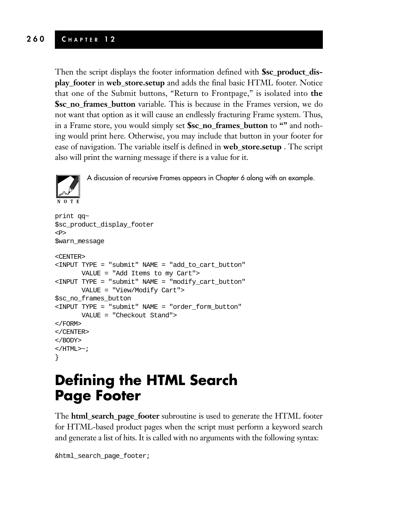Then the script displays the footer information defined with **\$sc\_product\_display\_footer** in **web\_store.setup** and adds the final basic HTML footer. Notice that one of the Submit buttons, "Return to Frontpage," is isolated into **the \$sc\_no\_frames\_button** variable. This is because in the Frames version, we do not want that option as it will cause an endlessly fracturing Frame system. Thus, in a Frame store, you would simply set **\$sc\_no\_frames\_button** to **""** and nothing would print here. Otherwise, you may include that button in your footer for ease of navigation. The variable itself is defined in **web\_store.setup** . The script also will print the warning message if there is a value for it.



A discussion of recursive Frames appears in Chapter 6 along with an example.

```
print qq~
$sc_product_display_footer
P$warn_message
<CENTER>
<INPUT TYPE = "submit" NAME = "add_to_cart_button"
      VALUE = "Add Items to my Cart">
<INPUT TYPE = "submit" NAME = "modify_cart_button"
      VALUE = "View/Modify Cart">
$sc_no_frames_button
<INPUT TYPE = "submit" NAME = "order_form_button"
      VALUE = "Checkout Stand">
</FORM>
</CENTER>
</BODY>
</HTML>\sim;
}
```
### **Defining the HTML Search Page Footer**

The **html\_search\_page\_footer** subroutine is used to generate the HTML footer for HTML-based product pages when the script must perform a keyword search and generate a list of hits. It is called with no arguments with the following syntax:

```
&html_search_page_footer;
```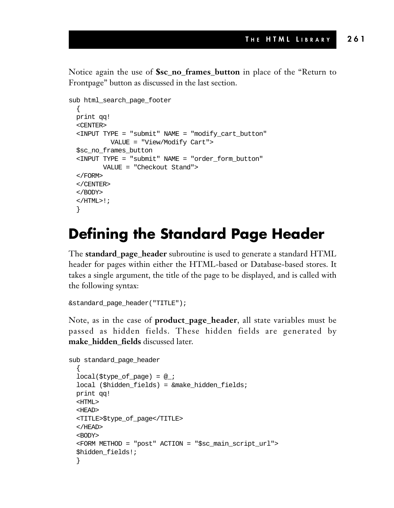Notice again the use of **\$sc\_no\_frames\_button** in place of the "Return to Frontpage" button as discussed in the last section.

```
sub html_search_page_footer
  {
 print qq!
  <CENTER>
  <INPUT TYPE = "submit" NAME = "modify_cart_button"
          VALUE = "View/Modify Cart">
  $sc_no_frames_button
  <INPUT TYPE = "submit" NAME = "order_form_button"
        VALUE = "Checkout Stand">
  </FORM>
  </CENTER>
  </BODY>
  </HTML>!;
  }
```
### **Defining the Standard Page Header**

The **standard\_page\_header** subroutine is used to generate a standard HTML header for pages within either the HTML-based or Database-based stores. It takes a single argument, the title of the page to be displayed, and is called with the following syntax:

```
&standard_page_header("TITLE");
```
Note, as in the case of **product\_page\_header**, all state variables must be passed as hidden fields. These hidden fields are generated by **make\_hidden\_fields** discussed later.

```
sub standard_page_header
  {
 local(style_{of\_page}) = @;
 local ($hidden_fields) = &make_hidden_fields;
 print qq!
 <HTML>
  <HEAD>
  <TITLE>$type_of_page</TITLE>
  </HEAD>
  <BODY>
  <FORM METHOD = "post" ACTION = "$sc_main_script_url">
  $hidden_fields!;
  }
```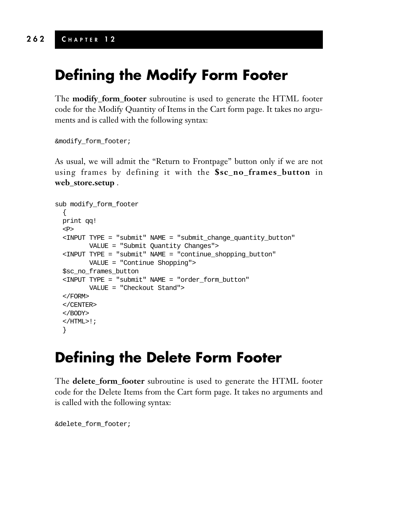### **Defining the Modify Form Footer**

The **modify\_form\_footer** subroutine is used to generate the HTML footer code for the Modify Quantity of Items in the Cart form page. It takes no arguments and is called with the following syntax:

```
&modify_form_footer;
```
As usual, we will admit the "Return to Frontpage" button only if we are not using frames by defining it with the **\$sc\_no\_frames\_button** in **web\_store.setup** .

```
sub modify_form_footer
  {
 print qq!
 <P>
 <INPUT TYPE = "submit" NAME = "submit_change_quantity_button"
        VALUE = "Submit Quantity Changes">
  <INPUT TYPE = "submit" NAME = "continue_shopping_button"
        VALUE = "Continue Shopping">
 $sc_no_frames_button
 <INPUT TYPE = "submit" NAME = "order_form_button"
        VALUE = "Checkout Stand">
 </FORM>
 </CENTER>
 </BODY>
  </HTML>!;
  }
```
### **Defining the Delete Form Footer**

The **delete\_form\_footer** subroutine is used to generate the HTML footer code for the Delete Items from the Cart form page. It takes no arguments and is called with the following syntax:

&delete\_form\_footer;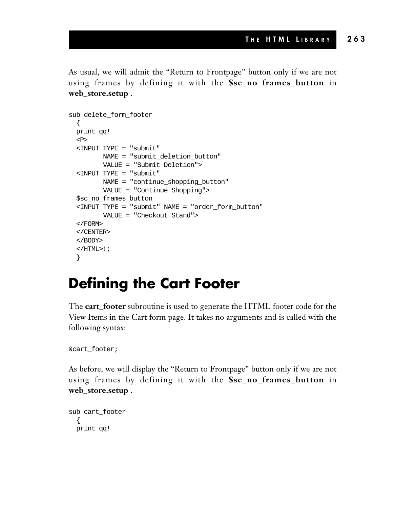As usual, we will admit the "Return to Frontpage" button only if we are not using frames by defining it with the **\$sc\_no\_frames\_button** in **web\_store.setup** .

```
sub delete form footer
  {
 print qq!
 P<INPUT TYPE = "submit"
       NAME = "submit_deletion_button"
        VALUE = "Submit Deletion">
 <INPUT TYPE = "submit"
        NAME = "continue_shopping_button"
        VALUE = "Continue Shopping">
 $sc_no_frames_button
 <INPUT TYPE = "submit" NAME = "order_form_button"
        VALUE = "Checkout Stand">
 </FORM>
 </CENTER>
 </BODY>
 </HTML>!;
 }
```
### **Defining the Cart Footer**

The **cart\_footer** subroutine is used to generate the HTML footer code for the View Items in the Cart form page. It takes no arguments and is called with the following syntax:

```
&cart_footer;
```
As before, we will display the "Return to Frontpage" button only if we are not using frames by defining it with the **\$sc\_no\_frames\_button** in **web\_store.setup** .

```
sub cart_footer
  {
 print qq!
```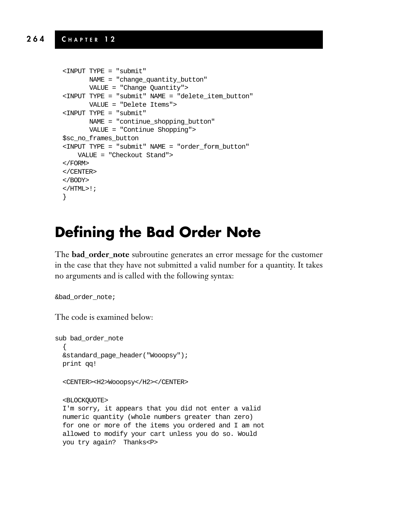```
<INPUT TYPE = "submit"
      NAME = "change_quantity_button"
      VALUE = "Change Quantity">
<INPUT TYPE = "submit" NAME = "delete_item_button"
      VALUE = "Delete Items">
<INPUT TYPE = "submit"
      NAME = "continue_shopping_button"
      VALUE = "Continue Shopping">
$sc_no_frames_button
<INPUT TYPE = "submit" NAME = "order_form_button"
   VALUE = "Checkout Stand">
</FORM>
</CENTER>
</BODY>
</HTML>!;
}
```
### **Defining the Bad Order Note**

The **bad\_order\_note** subroutine generates an error message for the customer in the case that they have not submitted a valid number for a quantity. It takes no arguments and is called with the following syntax:

```
&bad_order_note;
```
The code is examined below:

```
sub bad_order_note
  {
 &standard_page_header("Wooopsy");
 print qq!
 <CENTER><H2>Wooopsy</H2></CENTER>
 <BLOCKQUOTE>
 I'm sorry, it appears that you did not enter a valid
 numeric quantity (whole numbers greater than zero)
 for one or more of the items you ordered and I am not
 allowed to modify your cart unless you do so. Would
 you try again? Thanks<P>
```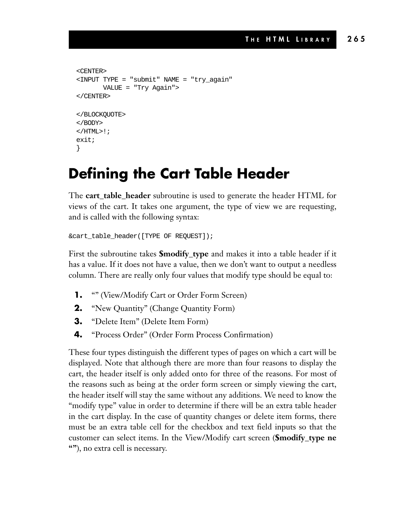```
<CENTER>
<INPUT TYPE = "submit" NAME = "try_again"
       VALUE = "Try Again">
</CENTER>
</BLOCKQUOTE>
</BODY>
\langle/HTML>!;
exit;
}
```
### **Defining the Cart Table Header**

The **cart\_table\_header** subroutine is used to generate the header HTML for views of the cart. It takes one argument, the type of view we are requesting, and is called with the following syntax:

```
&cart_table_header([TYPE OF REQUEST]);
```
First the subroutine takes **\$modify\_type** and makes it into a table header if it has a value. If it does not have a value, then we don't want to output a needless column. There are really only four values that modify type should be equal to:

- **1.** "" (View/Modify Cart or Order Form Screen)
- **2.** "New Quantity" (Change Quantity Form)
- **3.** "Delete Item" (Delete Item Form)
- **4.** "Process Order" (Order Form Process Confirmation)

These four types distinguish the different types of pages on which a cart will be displayed. Note that although there are more than four reasons to display the cart, the header itself is only added onto for three of the reasons. For most of the reasons such as being at the order form screen or simply viewing the cart, the header itself will stay the same without any additions. We need to know the "modify type" value in order to determine if there will be an extra table header in the cart display. In the case of quantity changes or delete item forms, there must be an extra table cell for the checkbox and text field inputs so that the customer can select items. In the View/Modify cart screen (**\$modify\_type ne ""**), no extra cell is necessary.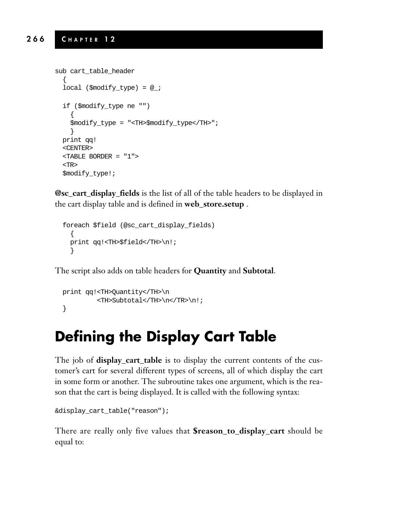```
sub cart_table_header
  {
  local ($modify_type) = @;
 if ($modify_type ne "")
    {
   $modify_type = "<TH>$modify_type</TH>";
    }
 print qq!
 <CENTER>
  <TABLE BORDER = "1">
  <TR>$modify_type!;
```
**@sc\_cart\_display\_fields** is the list of all of the table headers to be displayed in the cart display table and is defined in **web\_store.setup** .

```
foreach $field (@sc_cart_display_fields)
  {
 print qq!<TH>$field</TH>\n!;
  }
```
The script also adds on table headers for **Quantity** and **Subtotal**.

```
print qq!<TH>Quantity</TH>\n
         <TH>Subtotal</TH>\n</TR>\n!;
}
```
### **Defining the Display Cart Table**

The job of **display\_cart\_table** is to display the current contents of the customer's cart for several different types of screens, all of which display the cart in some form or another. The subroutine takes one argument, which is the reason that the cart is being displayed. It is called with the following syntax:

```
&display_cart_table("reason");
```
There are really only five values that **\$reason\_to\_display\_cart** should be equal to: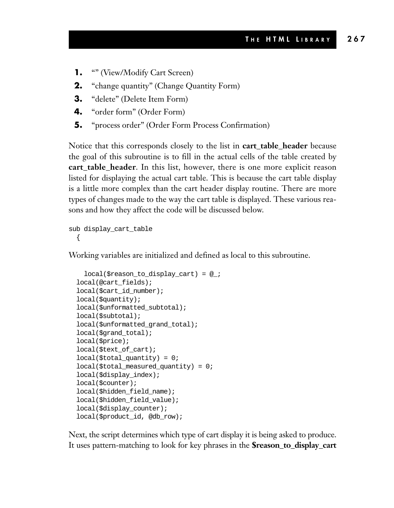- **1.** "" (View/Modify Cart Screen)
- **2.** "change quantity" (Change Quantity Form)
- **3.** "delete" (Delete Item Form)
- **4.** "order form" (Order Form)
- **5.** "process order" (Order Form Process Confirmation)

Notice that this corresponds closely to the list in **cart\_table\_header** because the goal of this subroutine is to fill in the actual cells of the table created by **cart\_table\_header**. In this list, however, there is one more explicit reason listed for displaying the actual cart table. This is because the cart table display is a little more complex than the cart header display routine. There are more types of changes made to the way the cart table is displayed. These various reasons and how they affect the code will be discussed below.

```
sub display_cart_table
  {
```
Working variables are initialized and defined as local to this subroutine.

```
local($reason_to_display_cart) = @_;
local(@cart_fields);
local($cart_id_number);
local($quantity);
local($unformatted_subtotal);
local($subtotal);
local($unformatted_grand_total);
local($grand_total);
local($price);
local($text_of_cart);
local($total_quantity) = 0;
local($total_measured_quantity) = 0;
local($display_index);
local($counter);
local($hidden_field_name);
local($hidden_field_value);
local($display_counter);
local($product_id, @db_row);
```
Next, the script determines which type of cart display it is being asked to produce. It uses pattern-matching to look for key phrases in the **\$reason\_to\_display\_cart**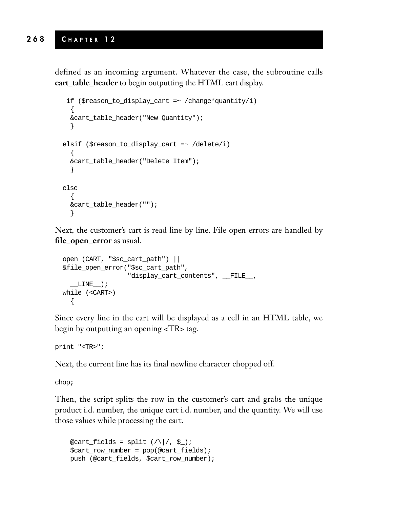defined as an incoming argument. Whatever the case, the subroutine calls **cart\_table\_header** to begin outputting the HTML cart display.

```
if ($reason_to_display_cart =~ /change*quantity/i)
  {
  &cart_table_header("New Quantity");
  }
elsif ($reason_to_display_cart =~ /delete/i)
  {
 &cart_table_header("Delete Item");
  }
else
  {
  &cart_table_header("");
  }
```
Next, the customer's cart is read line by line. File open errors are handled by **file\_open\_error** as usual.

```
open (CART, "$sc_cart_path") ||
&file_open_error("$sc_cart_path",
                 "display_cart_contents", __FILE__,
  LINE);
while (<CART>)
  {
```
Since every line in the cart will be displayed as a cell in an HTML table, we begin by outputting an opening <TR> tag.

print "<TR>";

Next, the current line has its final newline character chopped off.

chop;

Then, the script splits the row in the customer's cart and grabs the unique product i.d. number, the unique cart i.d. number, and the quantity. We will use those values while processing the cart.

```
@cart_fields = split ( / )/ , \sharp ) ;
$cart_row_number = pop(@cart_fields);
push (@cart_fields, $cart_row_number);
```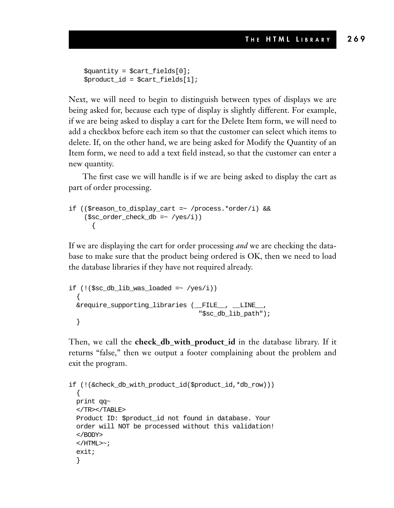```
$quantity = $cart_fields[0];
$product_id = $cart_fields[1];
```
Next, we will need to begin to distinguish between types of displays we are being asked for, because each type of display is slightly different. For example, if we are being asked to display a cart for the Delete Item form, we will need to add a checkbox before each item so that the customer can select which items to delete. If, on the other hand, we are being asked for Modify the Quantity of an Item form, we need to add a text field instead, so that the customer can enter a new quantity.

The first case we will handle is if we are being asked to display the cart as part of order processing.

```
if (($reason_to_display_cart =~ /process.*order/i) &&
    ($sc_order_check_db =~ /yes/i))
      {
```
If we are displaying the cart for order processing *and* we are checking the database to make sure that the product being ordered is OK, then we need to load the database libraries if they have not required already.

```
if (!($ sc db lib was loaded = ~ /yes/i))
  {
 &require_supporting_libraries (__FILE__, __LINE__,
                                    "$sc_db_lib_path");
  }
```
Then, we call the **check\_db\_with\_product\_id** in the database library. If it returns "false," then we output a footer complaining about the problem and exit the program.

```
if (!(&check_db_with_product_id($product_id,*db_row)))
  {
 print qq~
 </TR></TABLE>
 Product ID: $product_id not found in database. Your
 order will NOT be processed without this validation!
  </BODY>
  </HTML>\sim;
 exit;
  }
```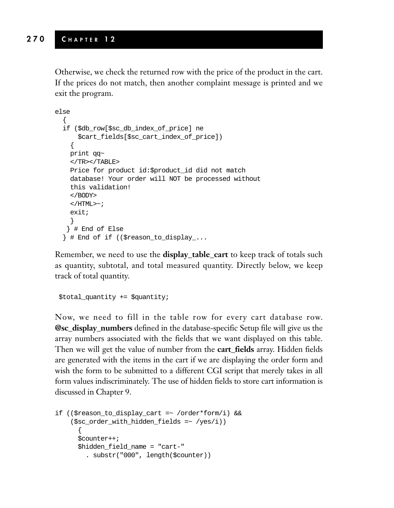Otherwise, we check the returned row with the price of the product in the cart. If the prices do not match, then another complaint message is printed and we exit the program.

```
else
  {
  if ($db_row[$sc_db_index_of_price] ne
      $cart_fields[$sc_cart_index_of_price])
    {
   print qq~
   </TR></TABLE>
   Price for product id:$product_id did not match
   database! Your order will NOT be processed without
   this validation!
   </BODY>
   </HTML>\sim;
   exit;
   }
   } # End of Else
  } # End of if (($reason_to_display_...
```
Remember, we need to use the **display\_table\_cart** to keep track of totals such as quantity, subtotal, and total measured quantity. Directly below, we keep track of total quantity.

\$total\_quantity += \$quantity;

Now, we need to fill in the table row for every cart database row. **@sc\_display\_numbers** defined in the database-specific Setup file will give us the array numbers associated with the fields that we want displayed on this table. Then we will get the value of number from the **cart\_fields** array. Hidden fields are generated with the items in the cart if we are displaying the order form and wish the form to be submitted to a different CGI script that merely takes in all form values indiscriminately. The use of hidden fields to store cart information is discussed in Chapter 9.

```
if (($reason_to_display_cart =~ /order*form/i) &&
    ($sc\ order\ with\ hidden\ fields = ~ /yes/i))
      {
      $counter++;
      $hidden_field_name = "cart-"
        . substr("000", length($counter))
```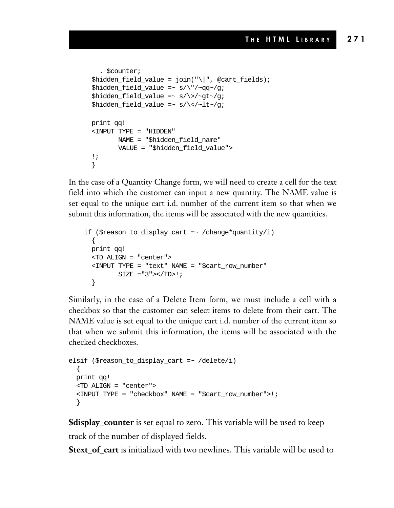```
. $counter;
$hidden_field_value = join("\|", @cart_fields);
$hidden_field_value = ~ s/\lq/~qq~/g;
$hidden_field_value =~ s/\sqrt{9t^2/q};
$hidden_field_value =~ s/\langle -lt~/q;
print qq!
<INPUT TYPE = "HIDDEN"
       NAME = "$hidden_field_name"
       VALUE = "$hidden_field_value">
!;
}
```
In the case of a Quantity Change form, we will need to create a cell for the text field into which the customer can input a new quantity. The NAME value is set equal to the unique cart i.d. number of the current item so that when we submit this information, the items will be associated with the new quantities.

```
if ($reason_to_display_cart =~ /change*quantity/i)
  {
 print qq!
 <TD ALIGN = "center">
  <INPUT TYPE = "text" NAME = "$cart_row_number"
         SIZE = "3" > < /TD > !;
  }
```
Similarly, in the case of a Delete Item form, we must include a cell with a checkbox so that the customer can select items to delete from their cart. The NAME value is set equal to the unique cart i.d. number of the current item so that when we submit this information, the items will be associated with the checked checkboxes.

```
elsif ($reason_to_display_cart =~ /delete/i)
  {
 print qq!
 <TD ALIGN = "center">
  <INPUT TYPE = "checkbox" NAME = "$cart_row_number">!;
  }
```
**\$display\_counter** is set equal to zero. This variable will be used to keep track of the number of displayed fields.

**\$text** of cart is initialized with two newlines. This variable will be used to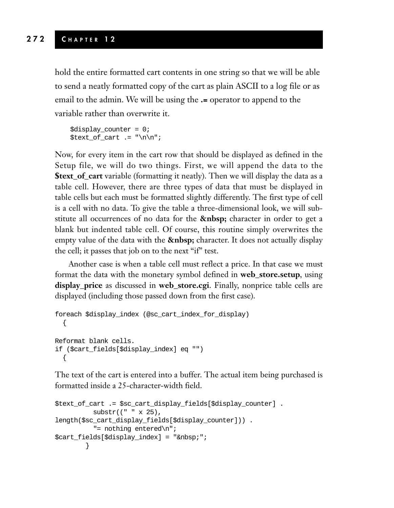hold the entire formatted cart contents in one string so that we will be able to send a neatly formatted copy of the cart as plain ASCII to a log file or as email to the admin. We will be using the **.=** operator to append to the variable rather than overwrite it.

```
$display_counter = 0;
$text of cart := "\n\n";
```
Now, for every item in the cart row that should be displayed as defined in the Setup file, we will do two things. First, we will append the data to the **\$text\_of\_cart** variable (formatting it neatly). Then we will display the data as a table cell. However, there are three types of data that must be displayed in table cells but each must be formatted slightly differently. The first type of cell is a cell with no data. To give the table a three-dimensional look, we will substitute all occurrences of no data for the **&nbsp**; character in order to get a blank but indented table cell. Of course, this routine simply overwrites the empty value of the data with the **&nbsp**; character. It does not actually display the cell; it passes that job on to the next "if" test.

Another case is when a table cell must reflect a price. In that case we must format the data with the monetary symbol defined in **web\_store.setup**, using **display\_price** as discussed in **web\_store.cgi**. Finally, nonprice table cells are displayed (including those passed down from the first case).

```
foreach $display_index (@sc_cart_index_for_display)
  {
Reformat blank cells.
if ($cart_fields[$display_index] eq "")
  {
```
The text of the cart is entered into a buffer. The actual item being purchased is formatted inside a 25-character-width field.

```
$text_of_cart .= $sc_cart_display_fields[$display_counter] .
         substr((" " x 25),
length($sc_cart_display_fields[$display_counter])) .
         "= nothing entered\n";
$cart_fields[$display_index] = " ";
       }
```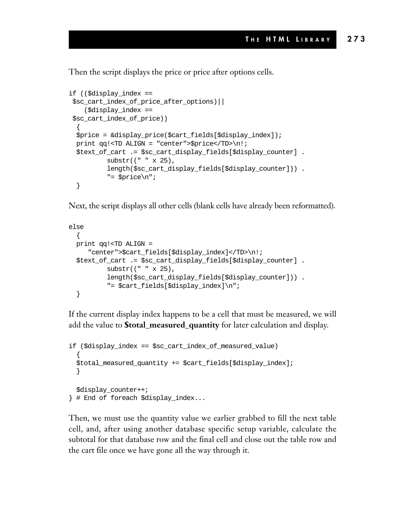Then the script displays the price or price after options cells.

```
if (($display_index ==
 $sc_cart_index_of_price_after_options)||
    ($display_index ==
 $sc_cart_index_of_price))
  {
  \text{Sprice} = \&\text{display price}(\text{Scart fields}[\text{Sdisplay index}]):print qq!<TD ALIGN = "center">$price</TD>\n!;
  $text_of_cart .= $sc_cart_display_fields[$display_counter] .
           substr((" " x 25),
           length($sc_cart_display_fields[$display_counter])) .
           "= $price\n";
  }
```
Next, the script displays all other cells (blank cells have already been reformatted).

```
else
  {
 print qq!<TD ALIGN =
     "center">$cart_fields[$display_index]</TD>\n!;
  $text_of_cart .= $sc_cart_display_fields[$display_counter] .
          substr((" " x 25),
          length($sc_cart_display_fields[$display_counter])) .
          "= $cart fields[$display index]\n";
  }
```
If the current display index happens to be a cell that must be measured, we will add the value to **\$total\_measured\_quantity** for later calculation and display.

```
if ($display_index == $sc_cart_index_of_measured_value)
  {
  $total_measured_quantity += $cart_fields[$display_index];
  }
  $display_counter++;
} # End of foreach $display_index...
```
Then, we must use the quantity value we earlier grabbed to fill the next table cell, and, after using another database specific setup variable, calculate the subtotal for that database row and the final cell and close out the table row and the cart file once we have gone all the way through it.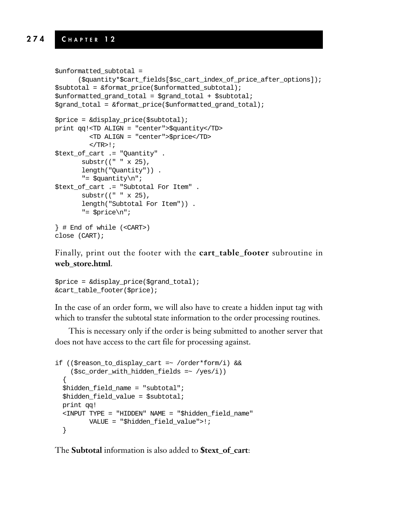```
$unformatted_subtotal =
      ($quantity*$cart_fields[$sc_cart_index_of_price_after_options]);
$subtotal = &format_price($unformatted_subtotal);
$unformed\ grand\ total = $grad\ total + $subtotal;$grand_total = &format_price($unformatted_grand_total);
$price = &display_price($subtotal);
print qq!<TD ALIGN = "center">$quantity</TD>
         <TD ALIGN = "center">$price</TD>
         </TR>!;
$text_of_cart .= "Quantity" .
       substr((" " x 25),
       length("Quantity")) .
       "= $quantity\n";
$text_of_cart .= "Subtotal For Item" .
       substr((" " x 25),
       length("Subtotal For Item")) .
       "= $price\n";
} # End of while (<CART>)
close (CART);
```
Finally, print out the footer with the **cart\_table\_footer** subroutine in **web\_store.html**.

```
$price = &display_price($grand_total);
&cart_table_footer($price);
```
In the case of an order form, we will also have to create a hidden input tag with which to transfer the subtotal state information to the order processing routines.

This is necessary only if the order is being submitted to another server that does not have access to the cart file for processing against.

```
if (($reason_to_display_cart =~ /order*form/i) &&
    ($sc\ order\ with\ hidden\ fields = ~ / yes/i))
  {
 $hidden_field_name = "subtotal";
 $hidden_field_value = $subtotal;
 print qq!
 <INPUT TYPE = "HIDDEN" NAME = "$hidden_field_name"
        VALUE = "$hidden_field_value">!;
  }
```
The **Subtotal** information is also added to **\$text\_of\_cart**: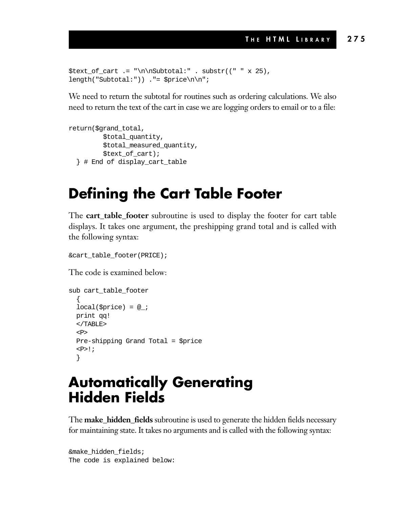```
$text_of_cart .= "\n\nSubtotal:" . substr((" " x 25),
length("Subtotal:")) ."= $price\n\n";
```
We need to return the subtotal for routines such as ordering calculations. We also need to return the text of the cart in case we are logging orders to email or to a file:

```
return($grand_total,
         $total_quantity,
         $total_measured_quantity,
         $text_of_cart);
  } # End of display_cart_table
```
### **Defining the Cart Table Footer**

The **cart\_table\_footer** subroutine is used to display the footer for cart table displays. It takes one argument, the preshipping grand total and is called with the following syntax:

&cart\_table\_footer(PRICE);

The code is examined below:

```
sub cart_table_footer
  {
 local($price) = @;
 print qq!
 </TABLE>
  CDPre-shipping Grand Total = $price
  <P>!;
  }
```
### **Automatically Generating Hidden Fields**

The **make\_hidden\_fields** subroutine is used to generate the hidden fields necessary for maintaining state. It takes no arguments and is called with the following syntax:

```
&make_hidden_fields;
The code is explained below:
```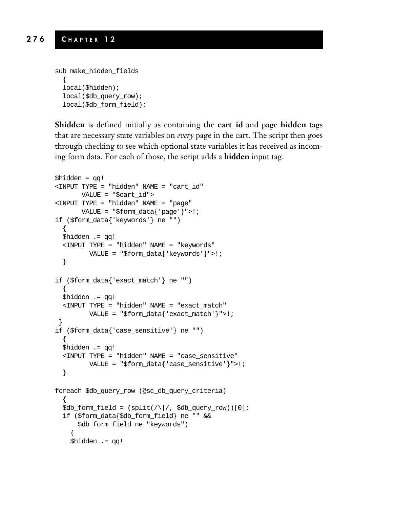```
sub make_hidden_fields
  {
  local($hidden);
 local($db_query_row);
 local($db_form_field);
```
**\$hidden** is defined initially as containing the **cart\_id** and page **hidden** tags that are necessary state variables on *every* page in the cart. The script then goes through checking to see which optional state variables it has received as incoming form data. For each of those, the script adds a **hidden** input tag.

```
$hidden = qq!
<INPUT TYPE = "hidden" NAME = "cart_id"
      VALUE = "$cart_id">
<INPUT TYPE = "hidden" NAME = "page"
      VALUE = "$form data{'|}page'|">!;
if ($form_data{'keywords'} ne "")
  {
 $hidden .= qq!
 <INPUT TYPE = "hidden" NAME = "keywords"
         VALUE = "$form_data{'keywords'}">!;
  }
if ($form_data{'exact_match'} ne "")
  {
 $hidden .= qq!
 <INPUT TYPE = "hidden" NAME = "exact_match"
        VALUE = "$form_data{'exact_match'}">!;
 }
if ($form_data{'case_sensitive'} ne "")
  {
 $hidden .= qq!
 <INPUT TYPE = "hidden" NAME = "case_sensitive"
         VALUE = "$form_data{'case_sensitive'}">!;
  }
foreach $db_query_row (@sc_db_query_criteria)
  {
  $db_{form_{field} = (split//)/, $db_{query_{row}})(0];if ($form_data{$db_form_field} ne "" &&
      $db_form_field ne "keywords")
    {
    $hidden .= qq!
```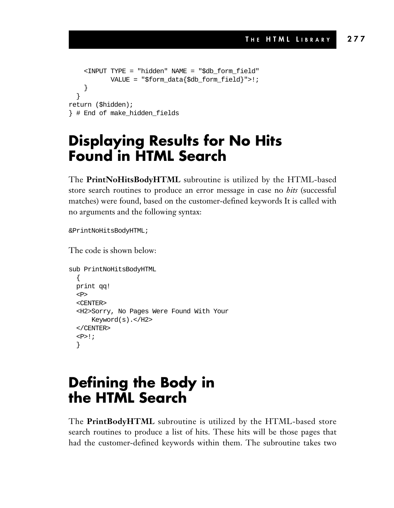```
<INPUT TYPE = "hidden" NAME = "$db_form_field"
           VALUE = "$form_data{$db_form_field}">!;
    }
  }
return ($hidden);
} # End of make_hidden_fields
```
### **Displaying Results for No Hits Found in HTML Search**

The **PrintNoHitsBodyHTML** subroutine is utilized by the HTML-based store search routines to produce an error message in case no *hits* (successful matches) were found, based on the customer-defined keywords It is called with no arguments and the following syntax:

&PrintNoHitsBodyHTML;

The code is shown below:

```
sub PrintNoHitsBodyHTML
  \left\{ \right.print qq!
  P<CENTER>
  <H2>Sorry, No Pages Were Found With Your
      Keyword(s).</H2>
  </CENTER>
  < P>!;
  }
```
### **Defining the Body in the HTML Search**

The **PrintBodyHTML** subroutine is utilized by the HTML-based store search routines to produce a list of hits. These hits will be those pages that had the customer-defined keywords within them. The subroutine takes two